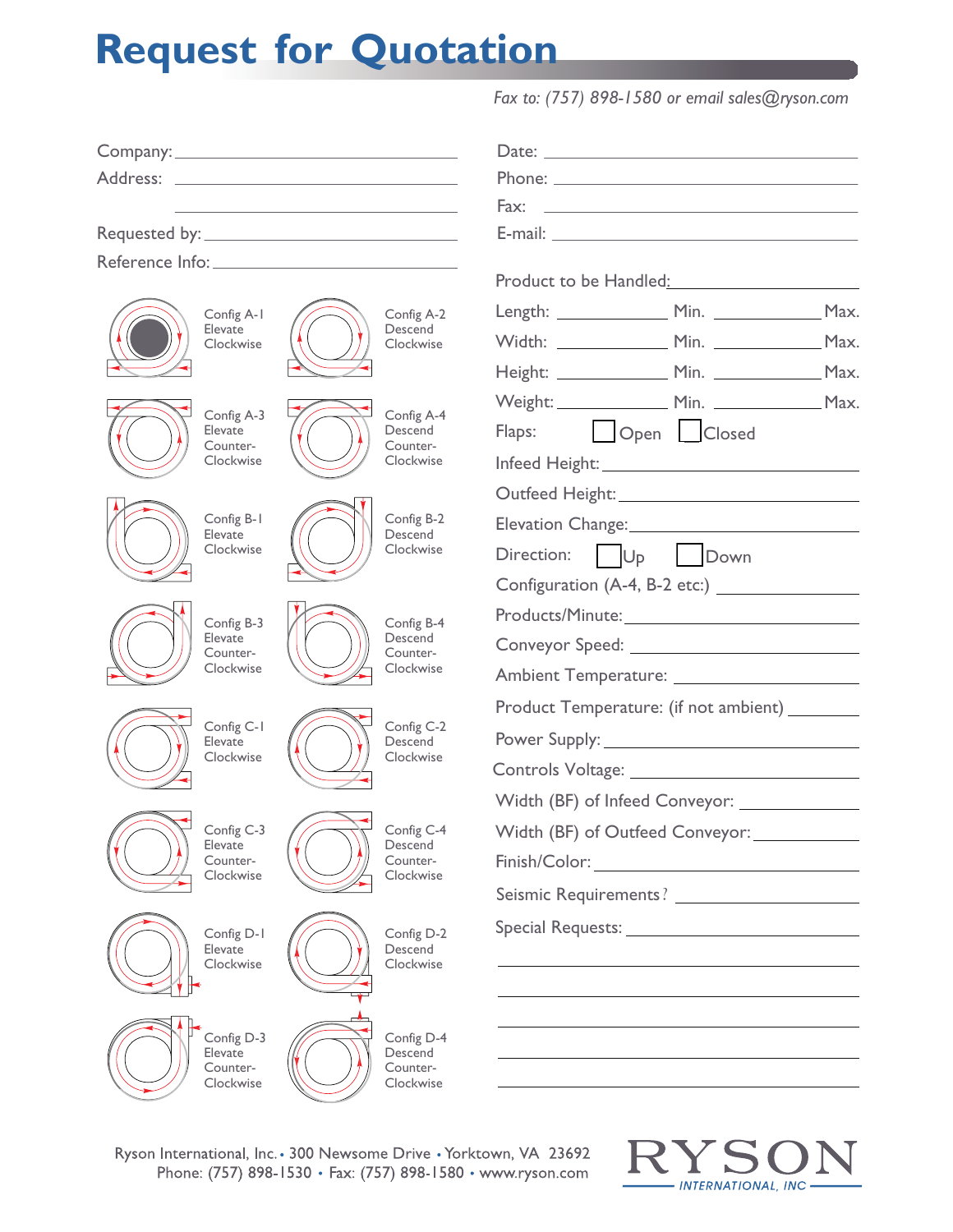## **Request for Quotation**

|                                                |                                    | Phone: <u>with the community of the community of the community of the community of the community of the community of the community of the community of the community of the community of the community of the community of the c</u><br>Fax:<br><u> 1980 - Jan Sterling, mars and de la politica de la politica de la politica de la politica de la politica de</u> |  |  |
|------------------------------------------------|------------------------------------|---------------------------------------------------------------------------------------------------------------------------------------------------------------------------------------------------------------------------------------------------------------------------------------------------------------------------------------------------------------------|--|--|
|                                                |                                    |                                                                                                                                                                                                                                                                                                                                                                     |  |  |
|                                                |                                    |                                                                                                                                                                                                                                                                                                                                                                     |  |  |
|                                                |                                    | Product to be Handled: National Product to be Handled:                                                                                                                                                                                                                                                                                                              |  |  |
| Config A-1<br>Elevate<br>Clockwise             | Config A-2                         | Length: Min. Min. Max.                                                                                                                                                                                                                                                                                                                                              |  |  |
|                                                | Descend<br>Clockwise               |                                                                                                                                                                                                                                                                                                                                                                     |  |  |
|                                                |                                    | Height: ________________ Min. _______________ Max.                                                                                                                                                                                                                                                                                                                  |  |  |
| Config A-3                                     | Config A-4                         |                                                                                                                                                                                                                                                                                                                                                                     |  |  |
| Elevate<br>Counter-                            | Descend<br>Counter-                | Open Closed<br>Flaps:                                                                                                                                                                                                                                                                                                                                               |  |  |
| Clockwise                                      | Clockwise                          |                                                                                                                                                                                                                                                                                                                                                                     |  |  |
|                                                |                                    |                                                                                                                                                                                                                                                                                                                                                                     |  |  |
| Config B-1<br>Elevate<br>Clockwise             | Config B-2<br>Descend<br>Clockwise | Elevation Change: 2008 2010 2021 2022 2023 2024 2022 2023 2024 2022 2023 2024 2022 2023 2024 2025 2026 2027 20                                                                                                                                                                                                                                                      |  |  |
|                                                |                                    | U <sub>p</sub> Down<br>Direction:                                                                                                                                                                                                                                                                                                                                   |  |  |
|                                                |                                    |                                                                                                                                                                                                                                                                                                                                                                     |  |  |
| Config B-3<br>Elevate<br>Counter-<br>Clockwise | Config B-4                         |                                                                                                                                                                                                                                                                                                                                                                     |  |  |
|                                                | Descend<br>Counter-                | Conveyor Speed: New York Conveyor Speed:                                                                                                                                                                                                                                                                                                                            |  |  |
|                                                | Clockwise                          |                                                                                                                                                                                                                                                                                                                                                                     |  |  |
| Config C-1                                     | Config C-2                         | Product Temperature: (if not ambient) ________                                                                                                                                                                                                                                                                                                                      |  |  |
| Elevate<br>Clockwise                           | Descend<br>Clockwise               | Power Supply: Now and Supply and Supply and Supply and Supply and Supply and Supply and Supply and Supply and Supply and Supply and Supply and Supply and Supply and Supply and Supply and Supply and Supply and Supply and Su                                                                                                                                      |  |  |
|                                                |                                    |                                                                                                                                                                                                                                                                                                                                                                     |  |  |
|                                                |                                    |                                                                                                                                                                                                                                                                                                                                                                     |  |  |
| Config C-3<br>Elevate                          | Config C-4<br>Descend              | Width (BF) of Outfeed Conveyor: ____________                                                                                                                                                                                                                                                                                                                        |  |  |
| Counter-<br>Clockwise                          | Counter-<br>Clockwise              | Finish/Color: <b>Example 2018</b>                                                                                                                                                                                                                                                                                                                                   |  |  |
|                                                |                                    | Seismic Requirements?                                                                                                                                                                                                                                                                                                                                               |  |  |
| Config D-1                                     | Config D-2                         |                                                                                                                                                                                                                                                                                                                                                                     |  |  |
| Elevate<br>Clockwise                           | Descend<br>Clockwise               |                                                                                                                                                                                                                                                                                                                                                                     |  |  |
|                                                |                                    |                                                                                                                                                                                                                                                                                                                                                                     |  |  |
| Config D-3                                     |                                    |                                                                                                                                                                                                                                                                                                                                                                     |  |  |
| Elevate                                        | Config D-4<br>Descend<br>Counter-  |                                                                                                                                                                                                                                                                                                                                                                     |  |  |
| Counter-<br>Clockwise                          | Clockwise                          |                                                                                                                                                                                                                                                                                                                                                                     |  |  |
|                                                |                                    |                                                                                                                                                                                                                                                                                                                                                                     |  |  |

Ryson International, Inc. · 300 Newsome Drive · Yorktown, VA 23692 Phone: (757) 898-1530 • Fax: (757) 898-1580 • www.ryson.com

 $\mathbf{C}$  $\blacktriangledown$ Г  $\bf I$ - INTERNATIONAL, INC -

*Fax to: (757) 898-1580 or email sales@ryson.com*